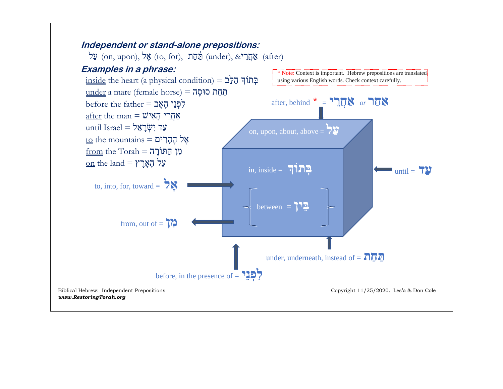